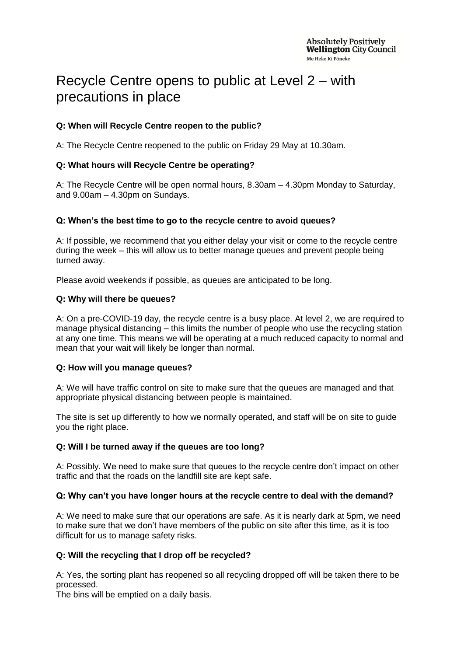# Recycle Centre opens to public at Level 2 – with precautions in place

# **Q: When will Recycle Centre reopen to the public?**

A: The Recycle Centre reopened to the public on Friday 29 May at 10.30am.

## **Q: What hours will Recycle Centre be operating?**

A: The Recycle Centre will be open normal hours, 8.30am – 4.30pm Monday to Saturday, and 9.00am – 4.30pm on Sundays.

## **Q: When's the best time to go to the recycle centre to avoid queues?**

A: If possible, we recommend that you either delay your visit or come to the recycle centre during the week – this will allow us to better manage queues and prevent people being turned away.

Please avoid weekends if possible, as queues are anticipated to be long.

#### **Q: Why will there be queues?**

A: On a pre-COVID-19 day, the recycle centre is a busy place. At level 2, we are required to manage physical distancing – this limits the number of people who use the recycling station at any one time. This means we will be operating at a much reduced capacity to normal and mean that your wait will likely be longer than normal.

#### **Q: How will you manage queues?**

A: We will have traffic control on site to make sure that the queues are managed and that appropriate physical distancing between people is maintained.

The site is set up differently to how we normally operated, and staff will be on site to guide you the right place.

# **Q: Will I be turned away if the queues are too long?**

A: Possibly. We need to make sure that queues to the recycle centre don't impact on other traffic and that the roads on the landfill site are kept safe.

#### **Q: Why can't you have longer hours at the recycle centre to deal with the demand?**

A: We need to make sure that our operations are safe. As it is nearly dark at 5pm, we need to make sure that we don't have members of the public on site after this time, as it is too difficult for us to manage safety risks.

#### **Q: Will the recycling that I drop off be recycled?**

A: Yes, the sorting plant has reopened so all recycling dropped off will be taken there to be processed.

The bins will be emptied on a daily basis.